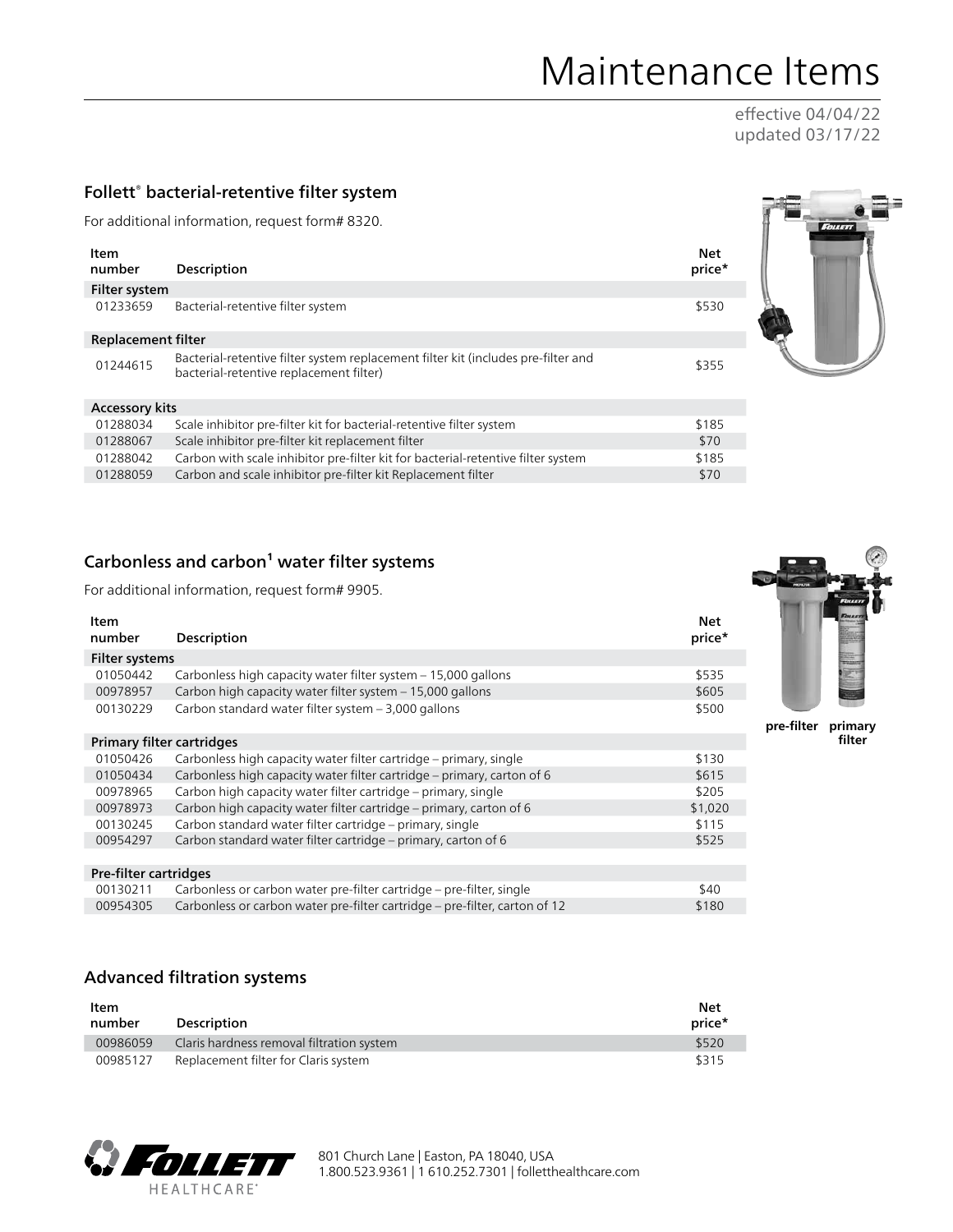# Maintenance Items

effective 04/04/22 updated 03/17/22

## Follett<sup>®</sup> bacterial-retentive filter system

For additional information, request form# 8320.

| Item<br>number        | Description                                                                                                                  | <b>Net</b><br>price* |
|-----------------------|------------------------------------------------------------------------------------------------------------------------------|----------------------|
| Filter system         |                                                                                                                              |                      |
| 01233659              | Bacterial-retentive filter system                                                                                            | \$530                |
| Replacement filter    |                                                                                                                              |                      |
| 01244615              | Bacterial-retentive filter system replacement filter kit (includes pre-filter and<br>bacterial-retentive replacement filter) | \$355                |
| <b>Accessory kits</b> |                                                                                                                              |                      |
| 01288034              | Scale inhibitor pre-filter kit for bacterial-retentive filter system                                                         | \$185                |
| 01200067              | Scale inhibitor pro filtor kit replacement filtor                                                                            | d70                  |

| 01288067 | Scale inhibitor pre-filter kit replacement filter                                | \$70  |
|----------|----------------------------------------------------------------------------------|-------|
| 01288042 | Carbon with scale inhibitor pre-filter kit for bacterial-retentive filter system | \$185 |
| 01288059 | Carbon and scale inhibitor pre-filter kit Replacement filter                     | \$70  |

## Carbonless and carbon<sup>1</sup> water filter systems

For additional information, request form# 9905.

| Item<br>number            | Description                                                                | <b>Net</b><br>price* |
|---------------------------|----------------------------------------------------------------------------|----------------------|
| <b>Filter systems</b>     |                                                                            |                      |
| 01050442                  | Carbonless high capacity water filter system - 15,000 gallons              | \$535                |
| 00978957                  | Carbon high capacity water filter system - 15,000 gallons                  | \$605                |
| 00130229                  | Carbon standard water filter system - 3,000 gallons                        | \$500                |
| Primary filter cartridges |                                                                            |                      |
| 01050426                  | Carbonless high capacity water filter cartridge – primary, single          | \$130                |
| 01050434                  | Carbonless high capacity water filter cartridge – primary, carton of 6     | \$615                |
| 00978965                  | Carbon high capacity water filter cartridge – primary, single              | \$205                |
| 00978973                  | Carbon high capacity water filter cartridge – primary, carton of 6         | \$1,020              |
| 00130245                  | Carbon standard water filter cartridge – primary, single                   | \$115                |
| 00954297                  | Carbon standard water filter cartridge - primary, carton of 6              | \$525                |
|                           |                                                                            |                      |
| Pre-filter cartridges     |                                                                            |                      |
| 00130211                  | Carbonless or carbon water pre-filter cartridge – pre-filter, single       | \$40                 |
| 00954305                  | Carbonless or carbon water pre-filter cartridge – pre-filter, carton of 12 | \$180                |

## Advanced filtration systems

| Item<br>number | <b>Description</b>                        | <b>Net</b><br>price* |
|----------------|-------------------------------------------|----------------------|
| 00986059       | Claris hardness removal filtration system | \$520                |
| 00985127       | Replacement filter for Claris system      | \$315                |





**pre-filter primary filter**